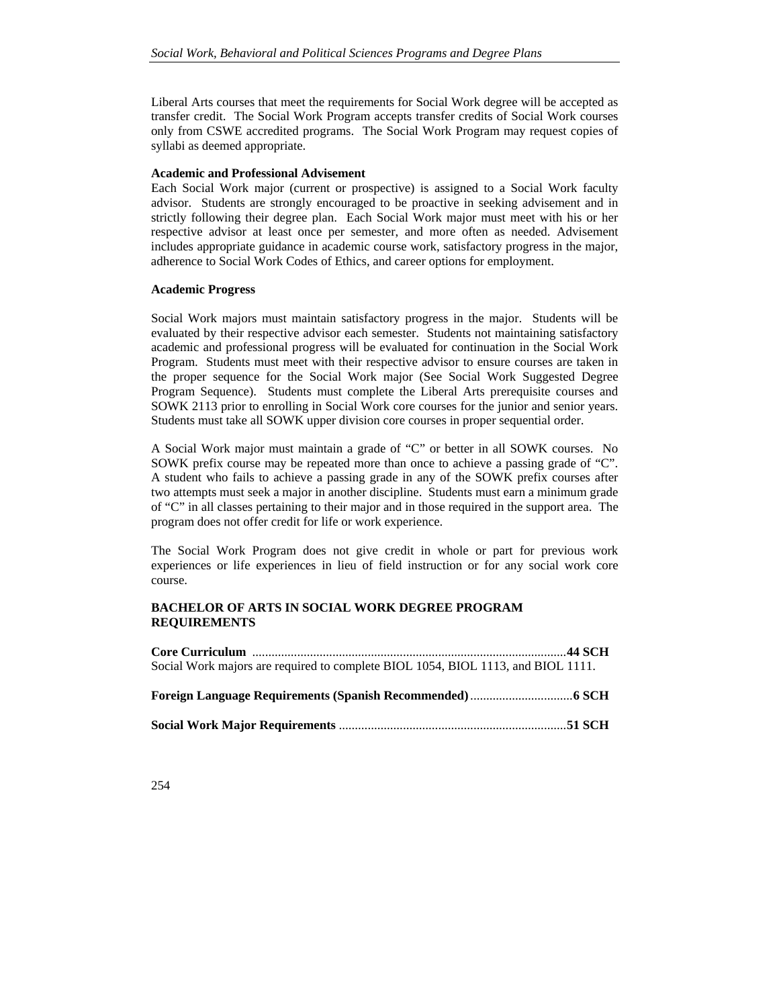Liberal Arts courses that meet the requirements for Social Work degree will be accepted as transfer credit. The Social Work Program accepts transfer credits of Social Work courses only from CSWE accredited programs. The Social Work Program may request copies of syllabi as deemed appropriate.

## **Academic and Professional Advisement**

Each Social Work major (current or prospective) is assigned to a Social Work faculty advisor. Students are strongly encouraged to be proactive in seeking advisement and in strictly following their degree plan. Each Social Work major must meet with his or her respective advisor at least once per semester, and more often as needed. Advisement includes appropriate guidance in academic course work, satisfactory progress in the major, adherence to Social Work Codes of Ethics, and career options for employment.

## **Academic Progress**

Social Work majors must maintain satisfactory progress in the major. Students will be evaluated by their respective advisor each semester. Students not maintaining satisfactory academic and professional progress will be evaluated for continuation in the Social Work Program. Students must meet with their respective advisor to ensure courses are taken in the proper sequence for the Social Work major (See Social Work Suggested Degree Program Sequence). Students must complete the Liberal Arts prerequisite courses and SOWK 2113 prior to enrolling in Social Work core courses for the junior and senior years. Students must take all SOWK upper division core courses in proper sequential order.

A Social Work major must maintain a grade of "C" or better in all SOWK courses. No SOWK prefix course may be repeated more than once to achieve a passing grade of "C". A student who fails to achieve a passing grade in any of the SOWK prefix courses after two attempts must seek a major in another discipline. Students must earn a minimum grade of "C" in all classes pertaining to their major and in those required in the support area. The program does not offer credit for life or work experience.

The Social Work Program does not give credit in whole or part for previous work experiences or life experiences in lieu of field instruction or for any social work core course.

# **BACHELOR OF ARTS IN SOCIAL WORK DEGREE PROGRAM REQUIREMENTS**

| Social Work majors are required to complete BIOL 1054, BIOL 1113, and BIOL 1111. |  |
|----------------------------------------------------------------------------------|--|
|                                                                                  |  |
|                                                                                  |  |
|                                                                                  |  |
|                                                                                  |  |

254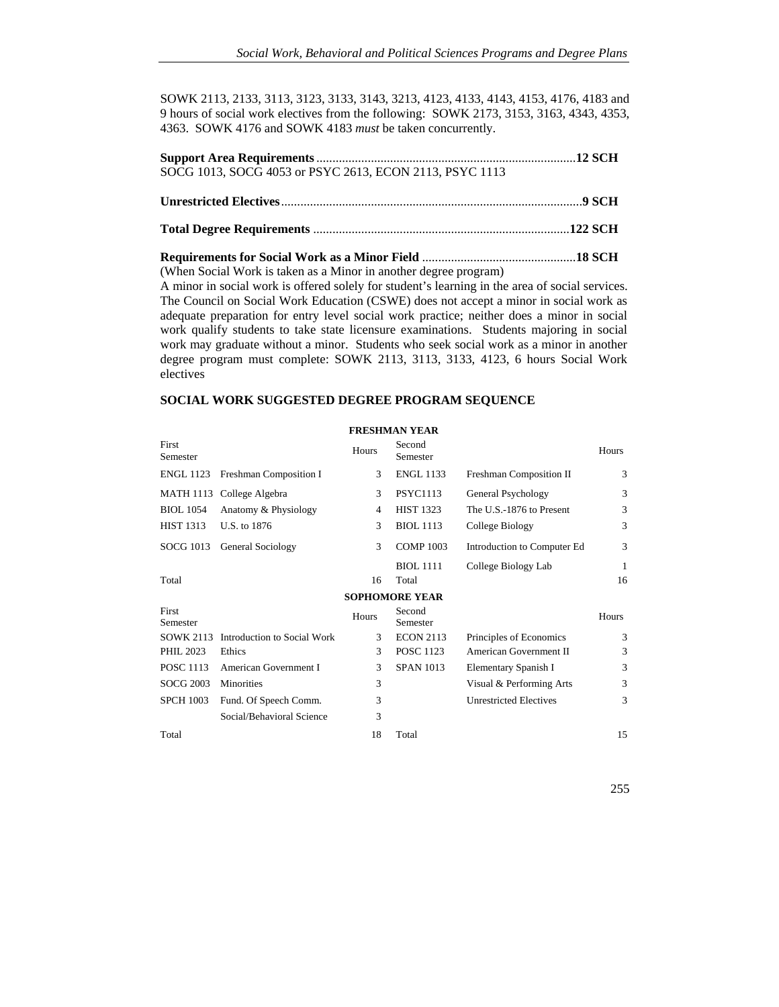SOWK 2113, 2133, 3113, 3123, 3133, 3143, 3213, 4123, 4133, 4143, 4153, 4176, 4183 and 9 hours of social work electives from the following: SOWK 2173, 3153, 3163, 4343, 4353, 4363. SOWK 4176 and SOWK 4183 *must* be taken concurrently.

| SOCG 1013, SOCG 4053 or PSYC 2613, ECON 2113, PSYC 1113 |  |
|---------------------------------------------------------|--|
|                                                         |  |
|                                                         |  |

**Requirements for Social Work as a Minor Field** ................................................ **18 SCH**  (When Social Work is taken as a Minor in another degree program)

A minor in social work is offered solely for student's learning in the area of social services. The Council on Social Work Education (CSWE) does not accept a minor in social work as adequate preparation for entry level social work practice; neither does a minor in social work qualify students to take state licensure examinations. Students majoring in social work may graduate without a minor. Students who seek social work as a minor in another degree program must complete: SOWK 2113, 3113, 3133, 4123, 6 hours Social Work electives

# **SOCIAL WORK SUGGESTED DEGREE PROGRAM SEQUENCE**

|                   |                             |       | ГІ ІРЛІІ І ПЕЛІЛ      |                               |       |
|-------------------|-----------------------------|-------|-----------------------|-------------------------------|-------|
| First<br>Semester |                             | Hours | Second<br>Semester    |                               | Hours |
| <b>ENGL 1123</b>  | Freshman Composition I      | 3     | <b>ENGL 1133</b>      | Freshman Composition II       | 3     |
|                   | MATH 1113 College Algebra   | 3     | <b>PSYC1113</b>       | General Psychology            | 3     |
| <b>BIOL</b> 1054  | Anatomy & Physiology        | 4     | <b>HIST 1323</b>      | The U.S.-1876 to Present      | 3     |
| HIST 1313         | U.S. to 1876                | 3     | <b>BIOL</b> 1113      | College Biology               | 3     |
| SOCG 1013         | <b>General Sociology</b>    | 3     | <b>COMP 1003</b>      | Introduction to Computer Ed   | 3     |
|                   |                             |       | <b>BIOL</b> 1111      | College Biology Lab           | 1     |
| Total             |                             | 16    | Total                 |                               | 16    |
|                   |                             |       | <b>SOPHOMORE YEAR</b> |                               |       |
| First<br>Semester |                             | Hours | Second<br>Semester    |                               | Hours |
| SOWK 2113         | Introduction to Social Work | 3     | <b>ECON 2113</b>      | Principles of Economics       | 3     |
| <b>PHIL 2023</b>  | Ethics                      | 3     | <b>POSC 1123</b>      | American Government II        | 3     |
| <b>POSC 1113</b>  | American Government I       | 3     | <b>SPAN 1013</b>      | Elementary Spanish I          | 3     |
| <b>SOCG 2003</b>  | <b>Minorities</b>           | 3     |                       | Visual & Performing Arts      | 3     |
| <b>SPCH 1003</b>  | Fund. Of Speech Comm.       | 3     |                       | <b>Unrestricted Electives</b> | 3     |
|                   | Social/Behavioral Science   | 3     |                       |                               |       |
| Total             |                             | 18    | Total                 |                               | 15    |

# **FRESHMAN YEAR**